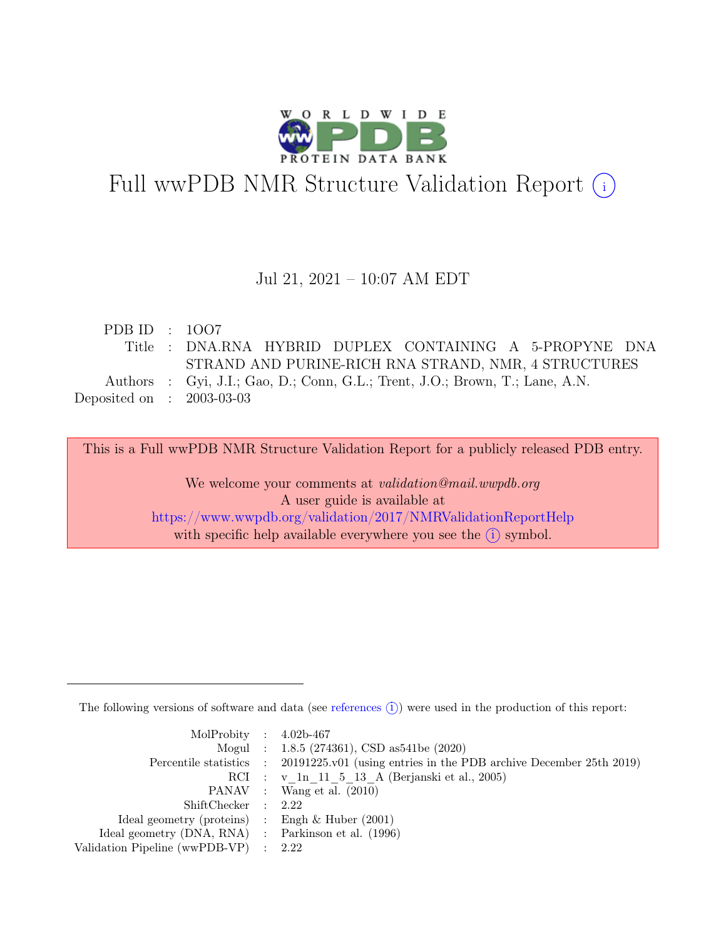

# Full wwPDB NMR Structure Validation Report (i)

#### Jul 21, 2021 – 10:07 AM EDT

| PDB ID : $1007$             |                                                                              |
|-----------------------------|------------------------------------------------------------------------------|
|                             | Title : DNA.RNA HYBRID DUPLEX CONTAINING A 5-PROPYNE DNA                     |
|                             | STRAND AND PURINE-RICH RNA STRAND, NMR, 4 STRUCTURES                         |
|                             | Authors : Gyi, J.I.; Gao, D.; Conn, G.L.; Trent, J.O.; Brown, T.; Lane, A.N. |
| Deposited on : $2003-03-03$ |                                                                              |
|                             |                                                                              |

This is a Full wwPDB NMR Structure Validation Report for a publicly released PDB entry.

We welcome your comments at *validation@mail.wwpdb.org* A user guide is available at <https://www.wwpdb.org/validation/2017/NMRValidationReportHelp> with specific help available everywhere you see the  $(i)$  symbol.

The following versions of software and data (see [references](https://www.wwpdb.org/validation/2017/NMRValidationReportHelp#references)  $(i)$ ) were used in the production of this report:

| MolProbity : $4.02b-467$                            |                                                                                            |
|-----------------------------------------------------|--------------------------------------------------------------------------------------------|
|                                                     | Mogul : 1.8.5 (274361), CSD as 541be (2020)                                                |
|                                                     | Percentile statistics : 20191225.v01 (using entries in the PDB archive December 25th 2019) |
|                                                     | RCI : v 1n 11 5 13 A (Berjanski et al., 2005)                                              |
|                                                     | PANAV : Wang et al. (2010)                                                                 |
| ShiftChecker : 2.22                                 |                                                                                            |
| Ideal geometry (proteins) : Engh $\&$ Huber (2001)  |                                                                                            |
| Ideal geometry (DNA, RNA) : Parkinson et al. (1996) |                                                                                            |
| Validation Pipeline (wwPDB-VP) : 2.22               |                                                                                            |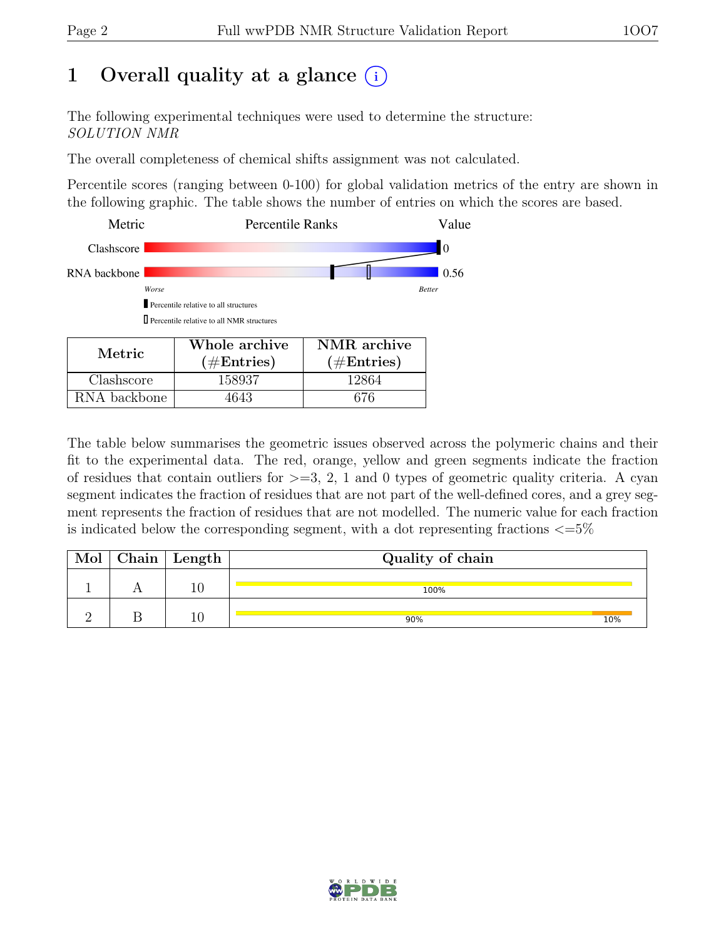## 1 Overall quality at a glance  $(i)$

The following experimental techniques were used to determine the structure: SOLUTION NMR

The overall completeness of chemical shifts assignment was not calculated.

Percentile scores (ranging between 0-100) for global validation metrics of the entry are shown in the following graphic. The table shows the number of entries on which the scores are based.



RNA backbone | 4643 | 676

The table below summarises the geometric issues observed across the polymeric chains and their fit to the experimental data. The red, orange, yellow and green segments indicate the fraction of residues that contain outliers for  $>=$  3, 2, 1 and 0 types of geometric quality criteria. A cyan segment indicates the fraction of residues that are not part of the well-defined cores, and a grey segment represents the fraction of residues that are not modelled. The numeric value for each fraction is indicated below the corresponding segment, with a dot representing fractions  $\epsilon = 5\%$ 

| Chain $ $ | $\vert$ Length $\vert$ | Quality of chain |     |  |
|-----------|------------------------|------------------|-----|--|
|           |                        | 100%             |     |  |
|           |                        | 90%              | 10% |  |

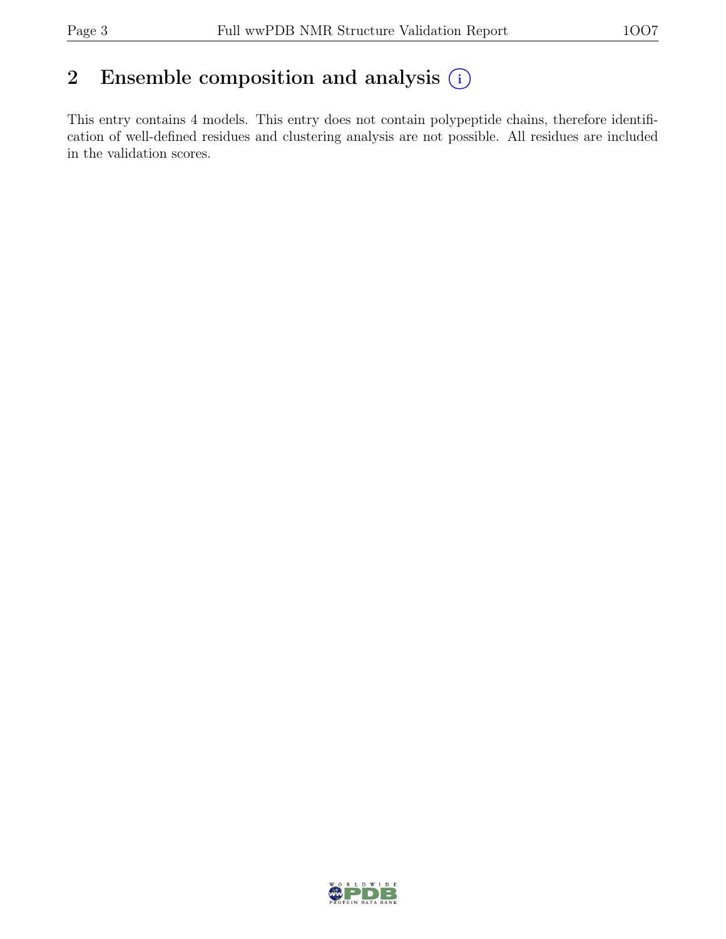## 2 Ensemble composition and analysis  $(i)$

This entry contains 4 models. This entry does not contain polypeptide chains, therefore identification of well-defined residues and clustering analysis are not possible. All residues are included in the validation scores.

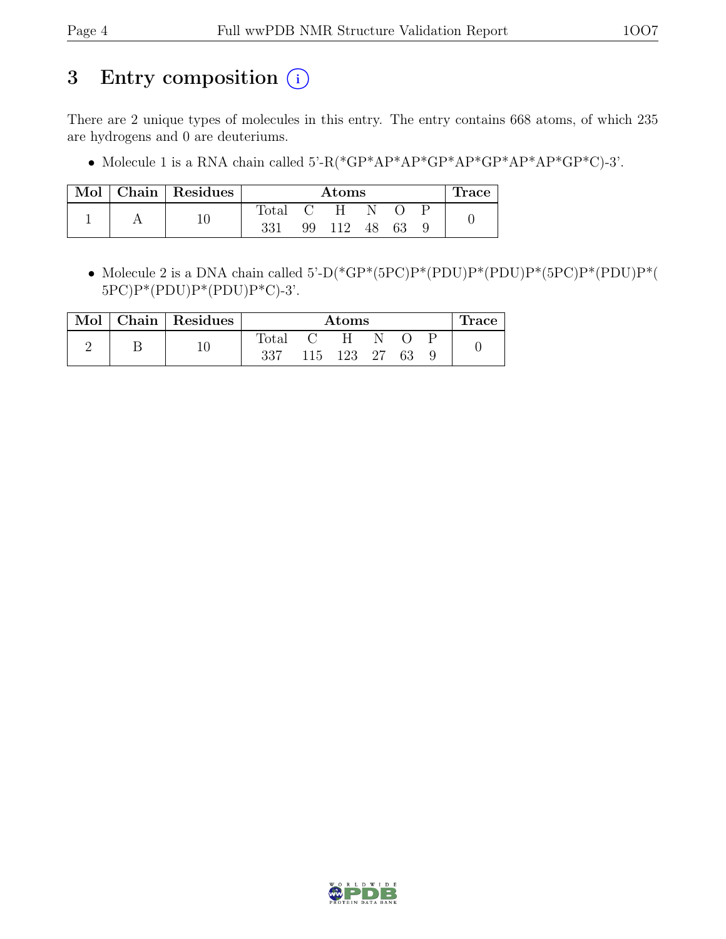## 3 Entry composition (i)

There are 2 unique types of molecules in this entry. The entry contains 668 atoms, of which 235 are hydrogens and 0 are deuteriums.

• Molecule 1 is a RNA chain called  $5\text{-R}$ (\*GP\*AP\*AP\*GP\*AP\*GP\*AP\*AP\*GP\*C)-3'.

| Mol | Chain Residues | $\rm{Atoms}$ |    |     |     | Trace |  |
|-----|----------------|--------------|----|-----|-----|-------|--|
|     |                | Total        |    | H.  | N   |       |  |
|     | 10             | 331          | 99 | 112 | 48. |       |  |

• Molecule 2 is a DNA chain called 5'-D(\*GP\*(5PC)P\*(PDU)P\*(PDU)P\*(5PC)P\*(PDU)P\*( 5PC)P\*(PDU)P\*(PDU)P\*C)-3'.

| Mol | Chain   Residues | Atoms        |                   |            |  |     | race |  |
|-----|------------------|--------------|-------------------|------------|--|-----|------|--|
|     |                  | <b>Total</b> | $\sim$ (1) $\sim$ | H          |  |     |      |  |
|     |                  | 337          |                   | 115 123 27 |  | -63 |      |  |

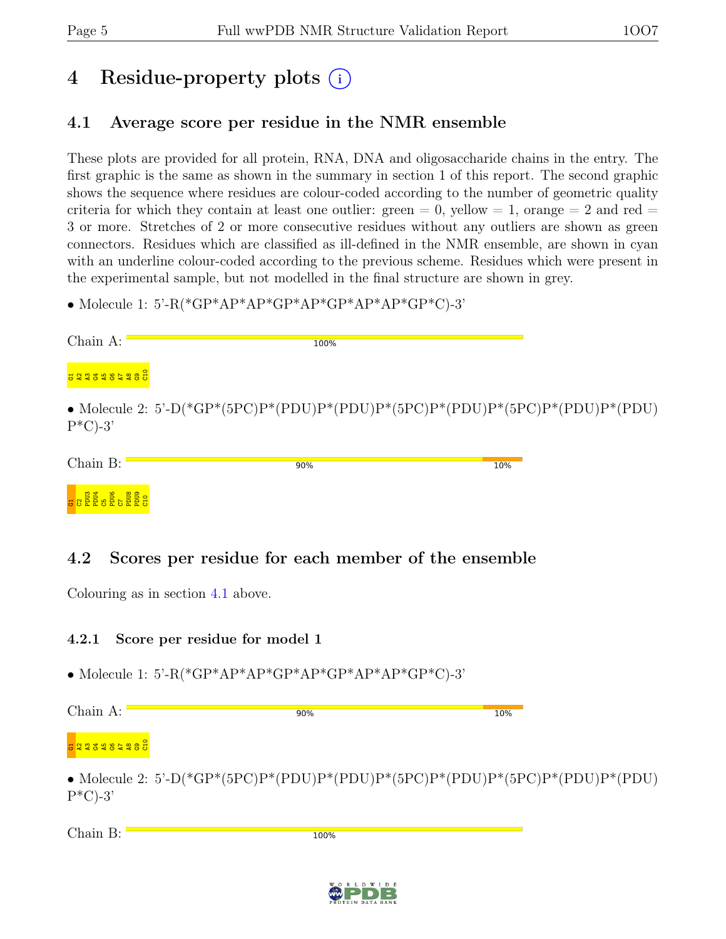## 4 Residue-property plots (i)

### <span id="page-4-0"></span>4.1 Average score per residue in the NMR ensemble

These plots are provided for all protein, RNA, DNA and oligosaccharide chains in the entry. The first graphic is the same as shown in the summary in section 1 of this report. The second graphic shows the sequence where residues are colour-coded according to the number of geometric quality criteria for which they contain at least one outlier: green  $= 0$ , yellow  $= 1$ , orange  $= 2$  and red  $=$ 3 or more. Stretches of 2 or more consecutive residues without any outliers are shown as green connectors. Residues which are classified as ill-defined in the NMR ensemble, are shown in cyan with an underline colour-coded according to the previous scheme. Residues which were present in the experimental sample, but not modelled in the final structure are shown in grey.

• Molecule 1: 5'-R(\*GP\*AP\*AP\*GP\*AP\*GP\*AP\*AP\*GP\*C)-3'

| Chain A:                                                                                                                                                                                                                                                                                                  | 100%                                                                          |     |
|-----------------------------------------------------------------------------------------------------------------------------------------------------------------------------------------------------------------------------------------------------------------------------------------------------------|-------------------------------------------------------------------------------|-----|
| <b>1234567891</b><br>$\vec{c}$ at $\vec{c}$ at $\vec{c}$ at $\vec{c}$ $\vec{c}$ $\vec{c}$                                                                                                                                                                                                                 |                                                                               |     |
| $P^*C$ )-3'                                                                                                                                                                                                                                                                                               | • Molecule 2: 5'-D(*GP*(5PC)P*(PDU)P*(PDU)P*(5PC)P*(PDU)P*(5PC)P*(PDU)P*(PDU) |     |
| Chain B:                                                                                                                                                                                                                                                                                                  | 90%                                                                           | 10% |
| $rac{1}{3}$ $rac{1}{3}$ $rac{1}{3}$ $rac{1}{3}$ $rac{1}{3}$ $rac{1}{3}$ $rac{1}{3}$ $rac{1}{3}$ $rac{1}{3}$ $rac{1}{3}$ $rac{1}{3}$ $rac{1}{3}$ $rac{1}{3}$ $rac{1}{3}$ $rac{1}{3}$ $rac{1}{3}$ $rac{1}{3}$ $rac{1}{3}$ $rac{1}{3}$ $rac{1}{3}$ $rac{1}{3}$ $rac{1}{3}$ $rac{1}{3}$ $rac{1}{3}$ $rac{1}{$ |                                                                               |     |

### 4.2 Scores per residue for each member of the ensemble

Colouring as in section [4.1](#page-4-0) above.

#### 4.2.1 Score per residue for model 1

• Molecule 1: 5'-R(\*GP\*AP\*AP\*GP\*AP\*GP\*AP\*AP\*GP\*C)-3'

| Chain A:            | 90%                                                             | 10% |
|---------------------|-----------------------------------------------------------------|-----|
| <b>G 2235984985</b> |                                                                 |     |
|                     | • Molecule 2: 5'-D(*GP*(5PC)P*(PDU)P*(PDU)P*(5PC)P*(PDU)P*(5PC) |     |

 $P^*(PDU)P^*(PDU)$ P\*C)-3'

Chain B:

100%

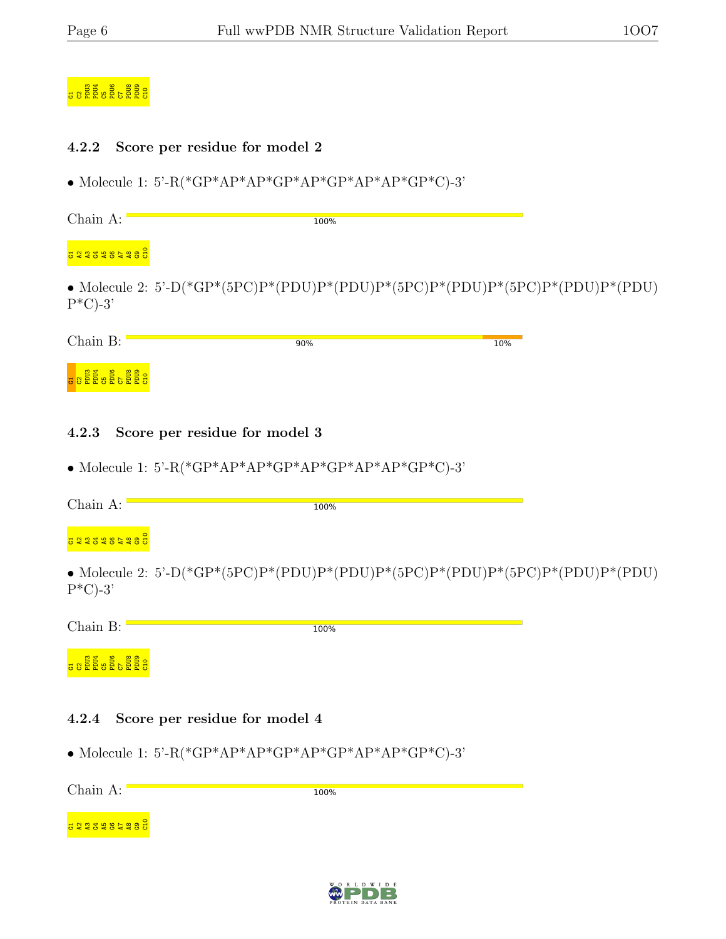## G<br>G2PDU6 PDU6 C5PDU6<br>G2PDU6 C5PD

#### 4.2.2 Score per residue for model 2

• Molecule 1: 5'-R(\*GP\*AP\*AP\*GP\*AP\*GP\*AP\*AP\*GP\*C)-3'

Chain A: 100%

g 22 3 3 3 3 3 4 5 6 7 8 9 9 9 9

• Molecule 2: 5'-D(\*GP\*(5PC)P\*(PDU)P\*(PDU)P\*(5PC)P\*(PDU)P\*(5PC)P\*(PDU)P\*(PDU)  $P^*C$ -3'

| Chain B:                                                                                 | 90% | 10% |
|------------------------------------------------------------------------------------------|-----|-----|
| . ទី ទី<br>$\frac{8}{2}$<br>. ទីទី<br>-분 쁑<br>՟՟՟<br>$\overline{a}$ $\overline{b}$<br>ဗပ |     |     |

#### 4.2.3 Score per residue for model 3

• Molecule 1: 5'-R(\*GP\*AP\*AP\*GP\*AP\*GP\*AP\*AP\*GP\*C)-3'

| Chain A:                   | 100%                                                                          |  |
|----------------------------|-------------------------------------------------------------------------------|--|
| <b>景 앑 앑 콩 딽 ణ 됴 엹 앍 큥</b> |                                                                               |  |
| $P^*C$ -3'                 | • Molecule 2: 5'-D(*GP*(5PC)P*(PDU)P*(PDU)P*(5PC)P*(PDU)P*(5PC)P*(PDU)P*(PDU) |  |

Chain B: 100% g 8<br>PDU3 PDU6 C<br>C3PDU6 C

#### 4.2.4 Score per residue for model 4

 $\frac{1}{2}$ 

• Molecule 1: 5'-R(\*GP\*AP\*AP\*GP\*AP\*GP\*AP\*AP\*GP\*C)-3'

Chain A: 100%  $\frac{\tt o}{\tt o}$ B Q Q S 일 은 영 Q 

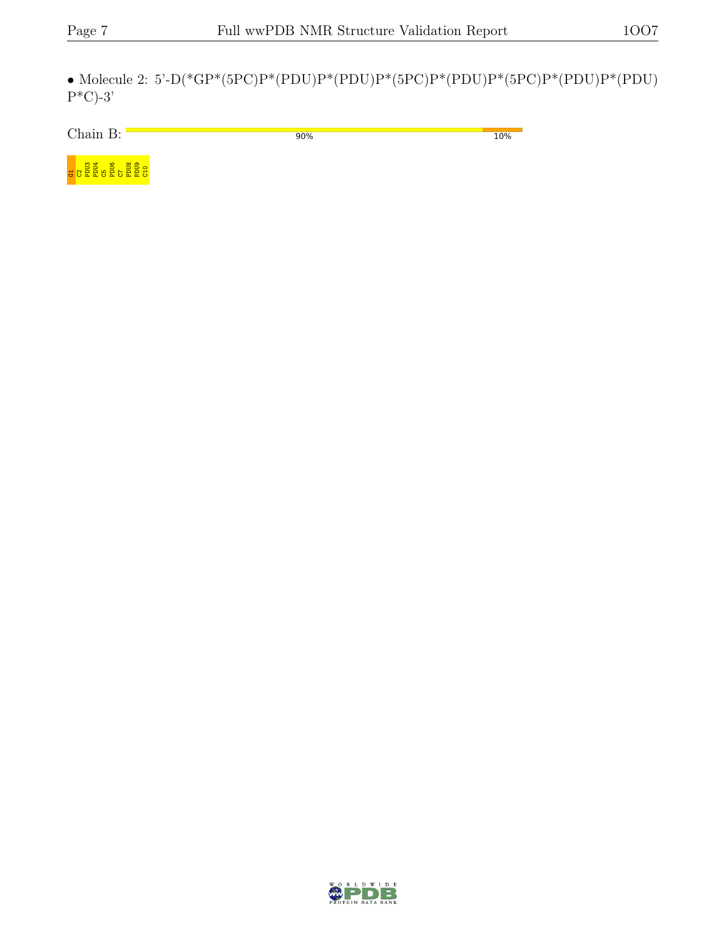$\bullet$  Molecule 2: 5'-D(\*GP\*(5PC)P\*(PDU)P\*(PDU)P\*(5PC)P\*(PDU)P\*(PDU)P\*(PDU)  $P^*C$ -3'

Chain B:  $\Box$ 90% 10%



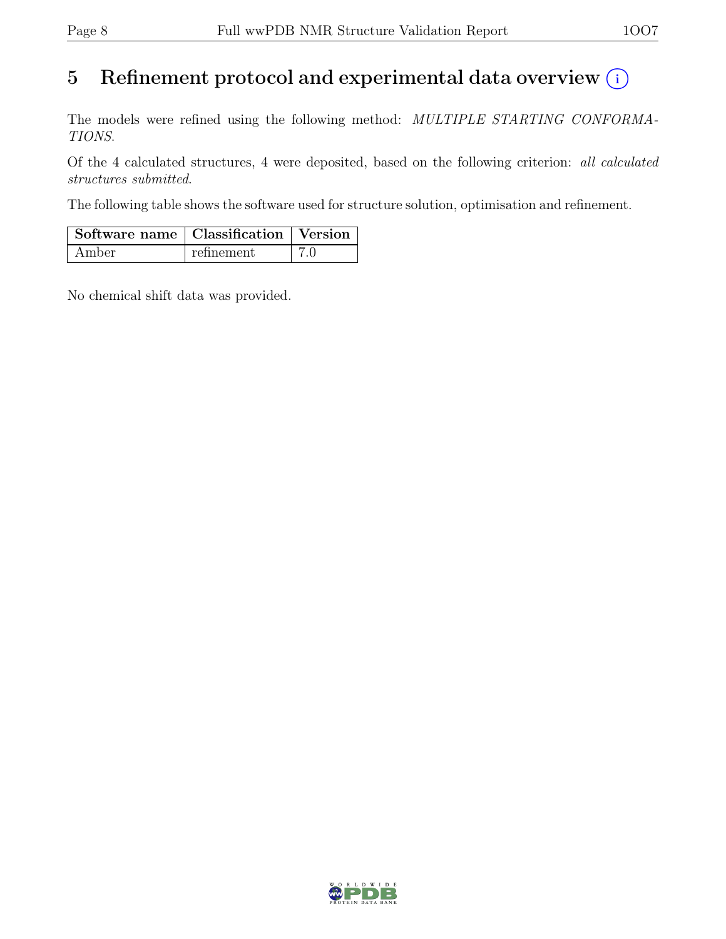## 5 Refinement protocol and experimental data overview  $(i)$

The models were refined using the following method: MULTIPLE STARTING CONFORMA-TIONS.

Of the 4 calculated structures, 4 were deposited, based on the following criterion: all calculated structures submitted.

The following table shows the software used for structure solution, optimisation and refinement.

| Software name   Classification   Version |            |  |
|------------------------------------------|------------|--|
| Amber                                    | refinement |  |

No chemical shift data was provided.

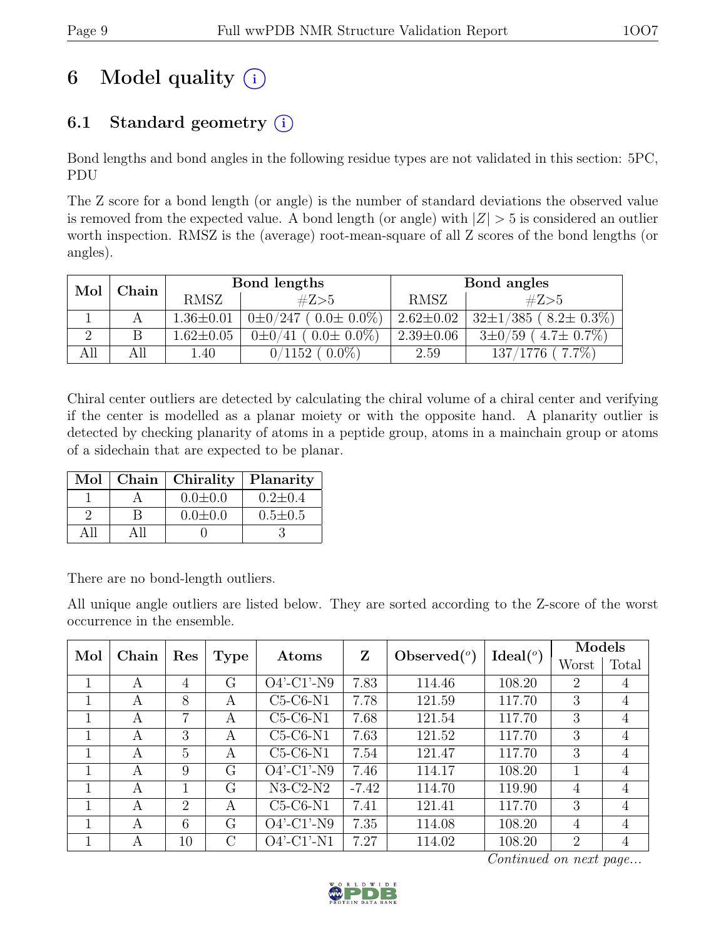# 6 Model quality  $(i)$

## 6.1 Standard geometry  $(i)$

Bond lengths and bond angles in the following residue types are not validated in this section: 5PC, PDU

The Z score for a bond length (or angle) is the number of standard deviations the observed value is removed from the expected value. A bond length (or angle) with  $|Z| > 5$  is considered an outlier worth inspection. RMSZ is the (average) root-mean-square of all Z scores of the bond lengths (or angles).

| Mol<br>${\bf Chain}$<br><b>RMSZ</b> |     |                 | Bond lengths                      | Bond angles     |                             |  |
|-------------------------------------|-----|-----------------|-----------------------------------|-----------------|-----------------------------|--|
|                                     |     |                 | #Z>5                              | <b>RMSZ</b>     | #Z>5                        |  |
|                                     |     | $1.36 \pm 0.01$ | $0\pm0/247$ ( $0.0\pm0.0\%$ )     | $2.62 \pm 0.02$ | $32\pm1/385$ (8.2 ± 0.3%)   |  |
|                                     |     | $1.62 \pm 0.05$ | $(0.0 \pm 0.0\%)$<br>$0 \pm 0/41$ | $2.39 \pm 0.06$ | $3\pm0/59$ (4.7 $\pm$ 0.7%) |  |
|                                     | All | 1.40            | $0.0\%$<br>$0/1152$ (             | 2.59            | $137/1776$ (7.7\%)          |  |

Chiral center outliers are detected by calculating the chiral volume of a chiral center and verifying if the center is modelled as a planar moiety or with the opposite hand. A planarity outlier is detected by checking planarity of atoms in a peptide group, atoms in a mainchain group or atoms of a sidechain that are expected to be planar.

| Mol | Chain   Chirality | Planarity     |
|-----|-------------------|---------------|
|     | $0.0 \pm 0.0$     | $0.2 \pm 0.4$ |
|     | $0.0 \pm 0.0$     | $0.5 \pm 0.5$ |
|     |                   |               |

There are no bond-length outliers.

All unique angle outliers are listed below. They are sorted according to the Z-score of the worst occurrence in the ensemble.

| Mol | Chain        | Res            |              | Atoms                    | Z       | Observed $(°)$ | Ideal <sup>(o)</sup> | Models         |                |
|-----|--------------|----------------|--------------|--------------------------|---------|----------------|----------------------|----------------|----------------|
|     |              |                | Type         |                          |         |                |                      | Worst          | Total          |
|     | A            | 4              | G            | $\overline{O}4'$ -C1'-N9 | 7.83    | 114.46         | 108.20               | 2              | 4              |
| 1   | $\mathsf{A}$ | 8              | $\mathsf{A}$ | $C5-C6-N1$               | 7.78    | 121.59         | 117.70               | 3              | 4              |
|     | A            | 7              | A            | $C5-C6-N1$               | 7.68    | 121.54         | 117.70               | 3              | 4              |
|     | A            | 3              | A            | $C5-C6-N1$               | 7.63    | 121.52         | 117.70               | 3              | $\overline{4}$ |
|     | A            | 5              | A            | $C5-C6-N1$               | 7.54    | 121.47         | 117.70               | 3              | 4              |
|     | A            | 9              | G            | $O4'$ -C1'-N9            | 7.46    | 114.17         | 108.20               |                | 4              |
| 1   | A            |                | G            | $N3-C2-N2$               | $-7.42$ | 114.70         | 119.90               | 4              | $\overline{4}$ |
|     | A            | $\overline{2}$ | A            | $C5-C6-N1$               | 7.41    | 121.41         | 117.70               | 3              | 4              |
| 1   | A            | 6              | G            | $O4'$ -C1'-N9            | 7.35    | 114.08         | 108.20               | 4              | 4              |
|     | A            | 10             | C            | $O4'$ -C1'-N1            | 7.27    | 114.02         | 108.20               | $\mathfrak{D}$ | 4              |

Continued on next page...

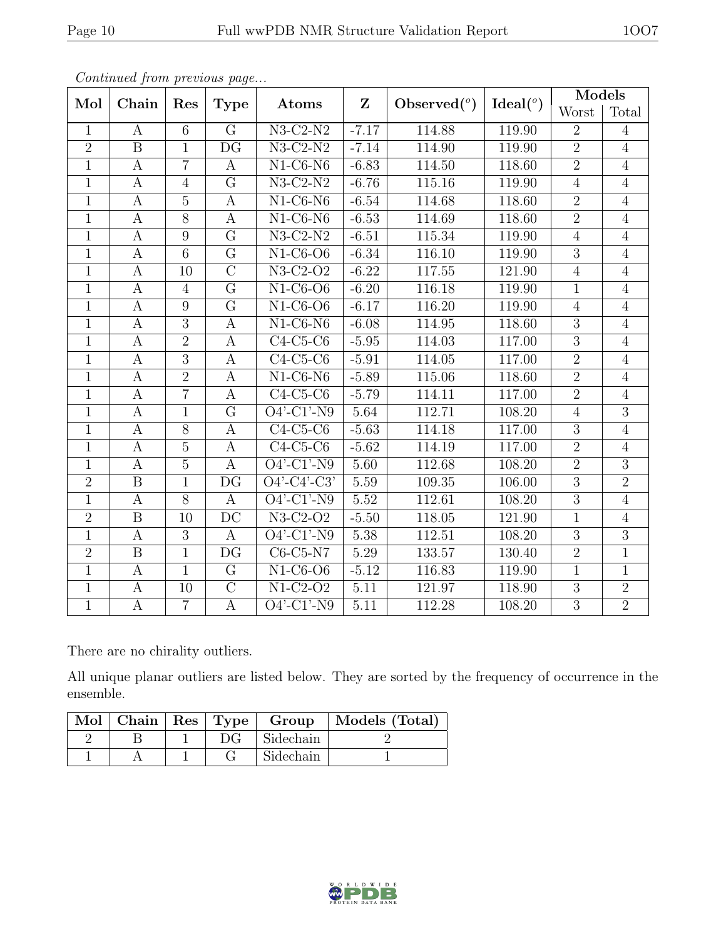|                | noonowew jiene piecece we page |                |                          |                                           |              |                |             | Models         |                |
|----------------|--------------------------------|----------------|--------------------------|-------------------------------------------|--------------|----------------|-------------|----------------|----------------|
| Mol            | Chain                          | Res            | <b>Type</b>              | Atoms                                     | $\mathbf{Z}$ | Observed $(°)$ | Ideal $(°)$ | Worst          | Total          |
| $\mathbf{1}$   | $\mathbf{A}$                   | $\overline{6}$ | $\overline{G}$           | $N3-C2-N2$                                | $-7.17$      | 114.88         | 119.90      | $\overline{2}$ | $\overline{4}$ |
| $\overline{2}$ | $\boldsymbol{B}$               | $\mathbf{1}$   | $\overline{\mathrm{DG}}$ | $N3-C2-N2$                                | $-7.14$      | 114.90         | 119.90      | $\overline{2}$ | $\overline{4}$ |
| $\mathbf{1}$   | $\boldsymbol{A}$               | $\overline{7}$ | $\boldsymbol{A}$         | $N1-C6-N6$                                | $-6.83$      | 114.50         | 118.60      | $\overline{2}$ | $\overline{4}$ |
| $\overline{1}$ | $\boldsymbol{A}$               | $\overline{4}$ | $\overline{G}$           | $N3-C2-N2$                                | $-6.76$      | 115.16         | 119.90      | $\overline{4}$ | $\overline{4}$ |
| $\mathbf{1}$   | $\mathbf{A}$                   | $\overline{5}$ | $\mathbf{A}$             | $N1-C6-N6$                                | $-6.54$      | 114.68         | 118.60      | $\overline{2}$ | $\overline{4}$ |
| $\mathbf{1}$   | $\boldsymbol{A}$               | $\overline{8}$ | $\mathbf{A}$             | $\overline{\text{N1-C6-N6}}$              | $-6.53$      | 114.69         | 118.60      | $\overline{2}$ | $\overline{4}$ |
| $\mathbf{1}$   | A                              | 9              | $\overline{G}$           | $N3-C2-N2$                                | $-6.51$      | 115.34         | 119.90      | $\overline{4}$ | $\overline{4}$ |
| $\mathbf{1}$   | $\mathbf{A}$                   | $\overline{6}$ | $\overline{G}$           | $N1-C6--OB$                               | $-6.34$      | 116.10         | 119.90      | $\overline{3}$ | $\overline{4}$ |
| $\overline{1}$ | $\boldsymbol{A}$               | 10             | $\overline{C}$           | $N3-C2-O2$                                | $-6.22$      | 117.55         | 121.90      | $\overline{4}$ | $\overline{4}$ |
| $\mathbf{1}$   | $\mathbf{A}$                   | $\overline{4}$ | $\overline{G}$           | $N1-C6-O6$                                | $-6.20$      | 116.18         | 119.90      | $\overline{1}$ | $\overline{4}$ |
| $\mathbf{1}$   | $\boldsymbol{A}$               | $\overline{9}$ | $\overline{G}$           | $N1-C6-O6$                                | $-6.17$      | 116.20         | 119.90      | $\overline{4}$ | $\overline{4}$ |
| $\mathbf{1}$   | $\mathbf{A}$                   | $\overline{3}$ | $\mathbf A$              | $N1-C6-N6$                                | $-6.08$      | 114.95         | 118.60      | $\overline{3}$ | $\overline{4}$ |
| $\mathbf{1}$   | $\boldsymbol{A}$               | $\overline{2}$ | $\boldsymbol{A}$         | $C4-C5-C6$                                | $-5.95$      | 114.03         | 117.00      | $\overline{3}$ | $\overline{4}$ |
| $\overline{1}$ | $\boldsymbol{A}$               | $\overline{3}$ | $\boldsymbol{A}$         | $C4-C5-C6$                                | $-5.91$      | 114.05         | 117.00      | $\overline{2}$ | $\overline{4}$ |
| $\mathbf{1}$   | $\boldsymbol{A}$               | $\overline{2}$ | $\mathbf{A}$             | $N1-C6-N6$                                | $-5.89$      | 115.06         | 118.60      | $\overline{2}$ | $\overline{4}$ |
| $\mathbf{1}$   | A                              | $\overline{7}$ | A                        | $C4-C5-C6$                                | $-5.79$      | 114.11         | 117.00      | $\overline{2}$ | $\overline{4}$ |
| $\mathbf{1}$   | $\mathbf{A}$                   | $\mathbf{1}$   | $\overline{G}$           | $O4'$ -C1'-N9                             | 5.64         | 112.71         | 108.20      | $\overline{4}$ | $\overline{3}$ |
| $\mathbf{1}$   | $\boldsymbol{A}$               | $\overline{8}$ | $\boldsymbol{A}$         | $C4-C5-C6$                                | $-5.63$      | 114.18         | 117.00      | $\overline{3}$ | $\overline{4}$ |
| $\mathbf{1}$   | $\boldsymbol{A}$               | $\overline{5}$ | $\mathbf{A}$             | $C4-C5-C6$                                | $-5.62$      | 114.19         | 117.00      | $\overline{2}$ | $\overline{4}$ |
| $\mathbf{1}$   | $\boldsymbol{A}$               | $\overline{5}$ | $\mathbf{A}$             | $O4'$ -C1'-N9                             | 5.60         | 112.68         | 108.20      | $\overline{2}$ | 3              |
| $\overline{2}$ | $\overline{B}$                 | $\overline{1}$ | $\overline{\mathrm{DG}}$ | $\overline{O4'-C4'-C3'}$                  | 5.59         | 109.35         | 106.00      | $\overline{3}$ | $\overline{2}$ |
| $\overline{1}$ | $\boldsymbol{A}$               | $\overline{8}$ | $\mathbf{A}$             | $O4'$ -C1'-N9                             | 5.52         | 112.61         | 108.20      | $\overline{3}$ | $\overline{4}$ |
| $\overline{2}$ | $\overline{\mathrm{B}}$        | 10             | $\overline{DC}$          | $N3-C2-O2$                                | $-5.50$      | 118.05         | 121.90      | $\overline{1}$ | $\overline{4}$ |
| $\mathbf{1}$   | A                              | 3              | $\mathbf{A}$             | $O4'$ -C1'-N9                             | 5.38         | 112.51         | 108.20      | $\overline{3}$ | 3              |
| $\overline{2}$ | $\overline{B}$                 | $\overline{1}$ | DG                       | $C6-C5-N7$                                | 5.29         | 133.57         | 130.40      | $\overline{2}$ | $\overline{1}$ |
| $\overline{1}$ | $\boldsymbol{A}$               | $\overline{1}$ | $\overline{G}$           | $N1-C6-O6$                                | $-5.12$      | 116.83         | 119.90      | $\mathbf{1}$   | $\overline{1}$ |
| $\mathbf{1}$   | A                              | 10             | $\overline{C}$           | $N1-C2-O2$                                | 5.11         | 121.97         | 118.90      | 3              | $\overline{2}$ |
| $\overline{1}$ | $\mathbf{A}$                   | $\overline{7}$ | $\mathbf{A}$             | $\overline{O4'$ - $C1'$ - $\overline{N9}$ | $5.11\,$     | 112.28         | 108.20      | $\overline{3}$ | $\overline{2}$ |

Continued from previous page...

There are no chirality outliers.

All unique planar outliers are listed below. They are sorted by the frequency of occurrence in the ensemble.

|  |    | Mol   Chain   Res   Type   Group | Models (Total) |
|--|----|----------------------------------|----------------|
|  | DG | Sidechain                        |                |
|  |    | Sidechain                        |                |

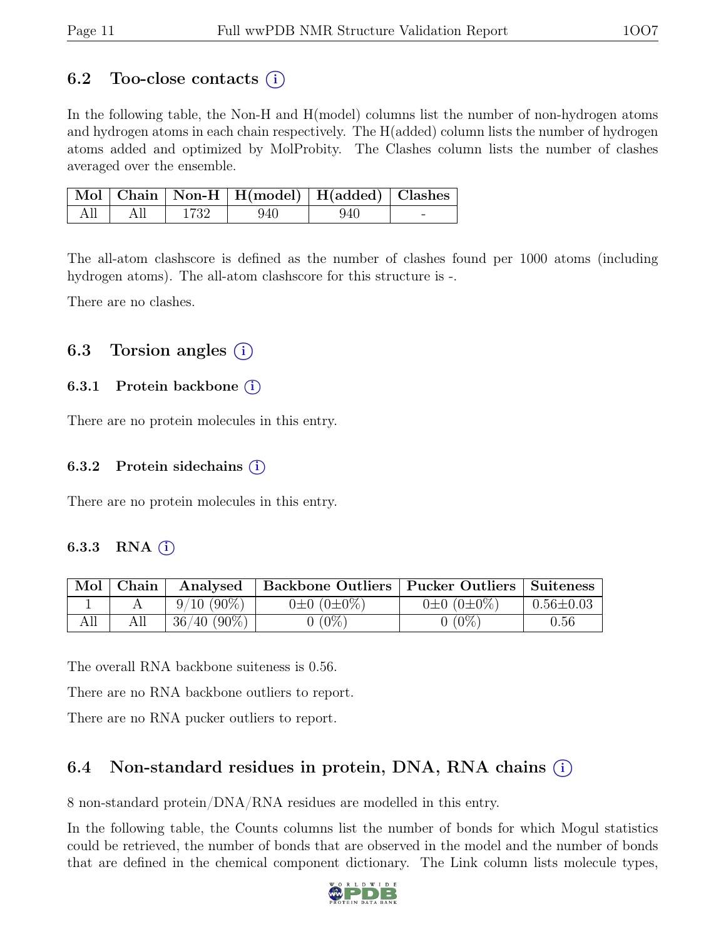### 6.2 Too-close contacts  $(i)$

In the following table, the Non-H and H(model) columns list the number of non-hydrogen atoms and hydrogen atoms in each chain respectively. The H(added) column lists the number of hydrogen atoms added and optimized by MolProbity. The Clashes column lists the number of clashes averaged over the ensemble.

|     |     |        | Mol Chain Non-H H(model) H(added) Clashes |     |  |
|-----|-----|--------|-------------------------------------------|-----|--|
| All | All | - 1732 | -940                                      | 940 |  |

The all-atom clashscore is defined as the number of clashes found per 1000 atoms (including hydrogen atoms). The all-atom clashscore for this structure is -.

There are no clashes.

### 6.3 Torsion angles  $(i)$

#### 6.3.1 Protein backbone (i)

There are no protein molecules in this entry.

#### 6.3.2 Protein sidechains  $(i)$

There are no protein molecules in this entry.

#### 6.3.3 RNA  $(i)$

| Mol | Chain | Analysed       | Backbone Outliers   Pucker Outliers   Suiteness |                       |                 |
|-----|-------|----------------|-------------------------------------------------|-----------------------|-----------------|
|     |       | $9/10(90\%)$   | $0\pm 0$ $(0\pm 0\%)$                           | $0\pm 0$ $(0\pm 0\%)$ | $0.56 \pm 0.03$ |
|     |       | $36/40 (90\%)$ | $0(0\%)$                                        | 0%)                   | 0.56            |

The overall RNA backbone suiteness is 0.56.

There are no RNA backbone outliers to report.

There are no RNA pucker outliers to report.

### 6.4 Non-standard residues in protein, DNA, RNA chains (i)

8 non-standard protein/DNA/RNA residues are modelled in this entry.

In the following table, the Counts columns list the number of bonds for which Mogul statistics could be retrieved, the number of bonds that are observed in the model and the number of bonds that are defined in the chemical component dictionary. The Link column lists molecule types,

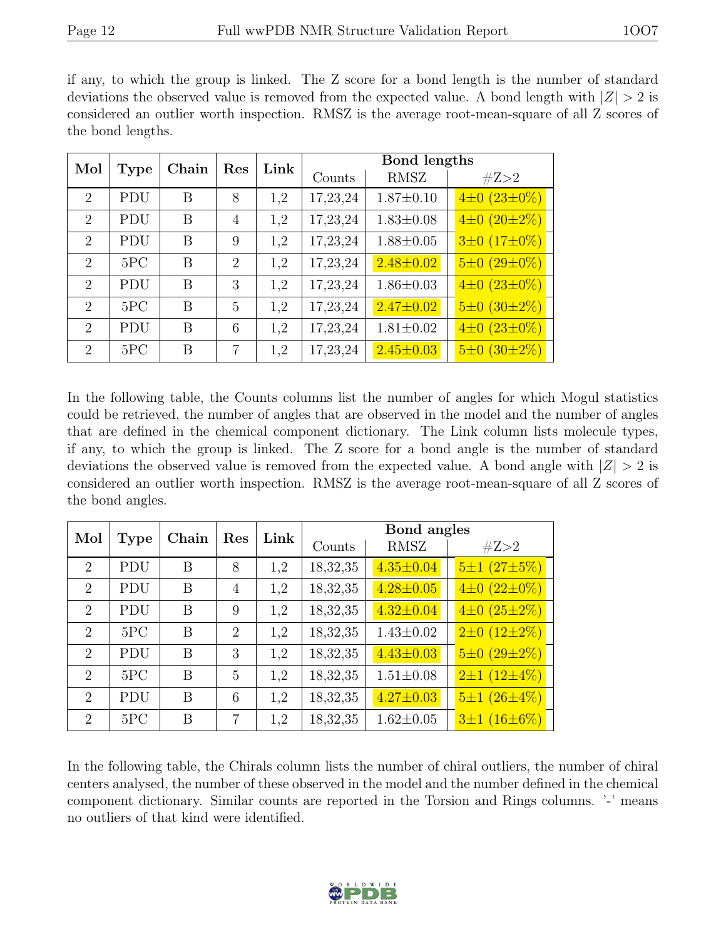if any, to which the group is linked. The Z score for a bond length is the number of standard deviations the observed value is removed from the expected value. A bond length with  $|Z| > 2$  is considered an outlier worth inspection. RMSZ is the average root-mean-square of all Z scores of the bond lengths.

| Mol                         |             | Chain | Res            | Link |          | Bond lengths    |                          |
|-----------------------------|-------------|-------|----------------|------|----------|-----------------|--------------------------|
|                             | <b>Type</b> |       |                |      | Counts   | <b>RMSZ</b>     | #Z>2                     |
| $\mathcal{D}_{\mathcal{L}}$ | <b>PDU</b>  | B     | 8              | 1,2  | 17,23,24 | $1.87 \pm 0.10$ | $4\pm 0$ (23 $\pm 0\%$ ) |
| $\mathcal{D}_{\mathcal{L}}$ | <b>PDU</b>  | B     | $\overline{4}$ | 1,2  | 17,23,24 | $1.83 \pm 0.08$ | $4\pm 0$ (20 $\pm 2\%$ ) |
| $\overline{2}$              | <b>PDU</b>  | В     | 9              | 1,2  | 17,23,24 | $1.88 \pm 0.05$ | $3\pm 0$ (17 $\pm 0\%$ ) |
| $\mathcal{D}_{\mathcal{L}}$ | 5PC         | В     | $\overline{2}$ | 1,2  | 17,23,24 | $2.48 \pm 0.02$ | $5\pm0$ (29 $\pm0\%$ )   |
| $\mathcal{D}_{\mathcal{L}}$ | <b>PDU</b>  | B     | 3              | 1,2  | 17,23,24 | $1.86 \pm 0.03$ | $4\pm 0$ (23 $\pm 0\%$ ) |
| $\overline{2}$              | 5PC         | B     | 5              | 1,2  | 17,23,24 | $2.47 \pm 0.02$ | $5\pm0$ (30 $\pm2\%$ )   |
| $\mathcal{D}_{\mathcal{L}}$ | <b>PDU</b>  | В     | 6              | 1,2  | 17,23,24 | $1.81 \pm 0.02$ | $4\pm 0$ $(23\pm 0\%)$   |
| $\mathcal{D}_{\mathcal{L}}$ | 5PC         | B     | 7              | 1,2  | 17,23,24 | $2.45 \pm 0.03$ | $5\pm0$ (30 $\pm2\%$ )   |

In the following table, the Counts columns list the number of angles for which Mogul statistics could be retrieved, the number of angles that are observed in the model and the number of angles that are defined in the chemical component dictionary. The Link column lists molecule types, if any, to which the group is linked. The Z score for a bond angle is the number of standard deviations the observed value is removed from the expected value. A bond angle with  $|Z| > 2$  is considered an outlier worth inspection. RMSZ is the average root-mean-square of all Z scores of the bond angles.

| Mol                         |             | Chain | Res            | Link | Bond angles |                 |                          |  |  |  |
|-----------------------------|-------------|-------|----------------|------|-------------|-----------------|--------------------------|--|--|--|
|                             | <b>Type</b> |       |                |      | Counts      | <b>RMSZ</b>     | #Z>2                     |  |  |  |
| $\mathcal{D}_{\mathcal{L}}$ | <b>PDU</b>  | B     | 8              | 1,2  | 18,32,35    | $4.35 \pm 0.04$ | $5\pm1(27\pm5\%)$        |  |  |  |
| $\overline{2}$              | <b>PDU</b>  | B     | $\overline{4}$ | 1,2  | 18,32,35    | $4.28 \pm 0.05$ | $4\pm 0$ $(22\pm 0\%)$   |  |  |  |
| $\overline{2}$              | <b>PDU</b>  | B     | 9              | 1,2  | 18,32,35    | $4.32 \pm 0.04$ | $4\pm 0$ (25 $\pm 2\%$ ) |  |  |  |
| $\mathcal{D}_{\mathcal{L}}$ | 5PC         | B     | $\overline{2}$ | 1,2  | 18,32,35    | $1.43 \pm 0.02$ | $2\pm 0$ (12 $\pm 2\%$ ) |  |  |  |
| $\overline{2}$              | <b>PDU</b>  | B     | 3              | 1,2  | 18,32,35    | $4.43 \pm 0.03$ | $5\pm0$ (29 $\pm2\%$ )   |  |  |  |
| $\overline{2}$              | 5PC         | B     | 5              | 1,2  | 18,32,35    | $1.51 \pm 0.08$ | $2\pm1(12\pm4\%)$        |  |  |  |
| $\overline{2}$              | <b>PDU</b>  | B     | 6              | 1,2  | 18,32,35    | $4.27 \pm 0.03$ | $5\pm1(26\pm4\%)$        |  |  |  |
| $\mathcal{D}_{\mathcal{L}}$ | 5PC         | B     | 7              | 1,2  | 18,32,35    | $1.62 \pm 0.05$ | $3\pm1(16\pm6\%)$        |  |  |  |

In the following table, the Chirals column lists the number of chiral outliers, the number of chiral centers analysed, the number of these observed in the model and the number defined in the chemical component dictionary. Similar counts are reported in the Torsion and Rings columns. '-' means no outliers of that kind were identified.

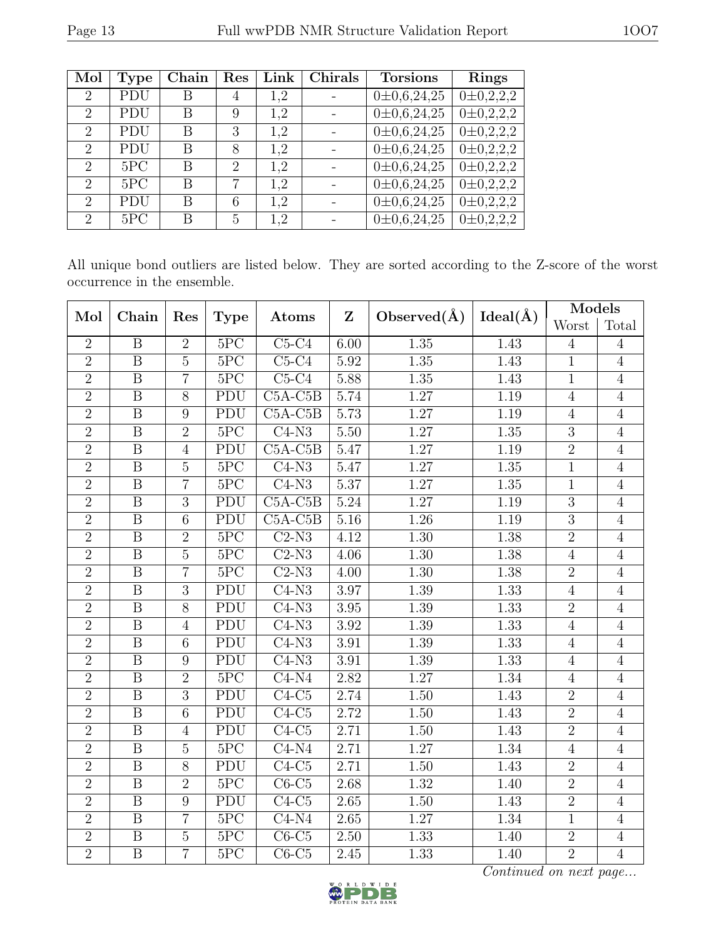| Mol                         | <b>Type</b> | Chain | Res            | Link | Chirals | <b>Torsions</b>    | Rings             |
|-----------------------------|-------------|-------|----------------|------|---------|--------------------|-------------------|
| $\overline{2}$              | <b>PDU</b>  | В     | 4              | 1,2  |         | $0\pm 0.6, 24, 25$ | $0\pm 0.2.2.2$    |
| $\overline{2}$              | PDU         | В     | 9              | 1,2  |         | $0\pm 0.6, 24, 25$ | $0\pm 0.2.2.2$    |
| $\overline{2}$              | PDU         | В     | 3              | 1,2  |         | $0\pm 0.6, 24, 25$ | $0\pm 0, 2, 2, 2$ |
| $\overline{2}$              | <b>PDU</b>  | В     | 8              | 1.2  |         | $0\pm 0.6, 24, 25$ | $0\pm 0.2.2.2$    |
| $\overline{2}$              | 5PC         | В     | $\overline{2}$ | 1,2  |         | $0\pm 0.6, 24, 25$ | $0\pm 0.2.2.2$    |
| $\mathcal{D}_{\mathcal{L}}$ | 5PC         | B     | 7              | 1.2  |         | $0\pm 0.6, 24, 25$ | $0 \pm 0.2.2.2$   |
| $\mathcal{D}_{\mathcal{L}}$ | PDU         | B     | 6              | 1.2  |         | $0\pm 0.6, 24, 25$ | $0\pm 0.2.2.2$    |
| $\mathcal{D}_{\mathcal{L}}$ | 5PC         | В     | 5              | 1.2  |         | $0\pm 0.6, 24, 25$ | $0\pm 0.2.2.2$    |

All unique bond outliers are listed below. They are sorted according to the Z-score of the worst occurrence in the ensemble.

| Mol            | Chain                   | Res            | <b>Type</b>               | Atoms                     | $\mathbf{Z}$ | Observed $(\AA)$  | Ideal( $\AA$ ) | Models         |                |
|----------------|-------------------------|----------------|---------------------------|---------------------------|--------------|-------------------|----------------|----------------|----------------|
|                |                         |                |                           |                           |              |                   |                | Worst          | Total          |
| $\overline{2}$ | $\overline{B}$          | $\overline{2}$ | 5PC                       | $C5-C4$                   | 6.00         | 1.35              | 1.43           | $\overline{4}$ | $\overline{4}$ |
| $\overline{2}$ | $\overline{B}$          | $\overline{5}$ | $5\overline{PC}$          | $C5-C4$                   | 5.92         | $\overline{1.35}$ | 1.43           | $\overline{1}$ | $\overline{4}$ |
| $\overline{2}$ | $\boldsymbol{B}$        | $\overline{7}$ | 5PC                       | $C5-C4$                   | 5.88         | $\overline{1.35}$ | 1.43           | $1\,$          | $\overline{4}$ |
| $\overline{2}$ | $\overline{B}$          | $\overline{8}$ | PDU                       | $C5A-C5B$                 | 5.74         | 1.27              | 1.19           | $\overline{4}$ | $\overline{4}$ |
| $\overline{2}$ | $\mathbf{B}$            | 9              | PDU                       | $C5A-C5B$                 | 5.73         | $1.27\,$          | 1.19           | $\overline{4}$ | $\overline{4}$ |
| $\overline{2}$ | $\overline{\mathrm{B}}$ | $\overline{2}$ | 5PC                       | $\overline{\text{C4-N3}}$ | 5.50         | 1.27              | 1.35           | $\overline{3}$ | $\overline{4}$ |
| $\overline{2}$ | $\overline{B}$          | $\overline{4}$ | PDU                       | $C5A-C5B$                 | 5.47         | 1.27              | 1.19           | $\overline{2}$ | $\overline{4}$ |
| $\overline{2}$ | $\boldsymbol{B}$        | $\overline{5}$ | 5PC                       | $C4-N3$                   | 5.47         | $\overline{1.27}$ | $1.35\,$       | $\mathbf{1}$   | $\overline{4}$ |
| $\overline{2}$ | $\overline{B}$          | $\overline{7}$ | 5PC                       | $C4-N3$                   | 5.37         | 1.27              | 1.35           | $\overline{1}$ | $\overline{4}$ |
| $\overline{2}$ | $\mathbf B$             | $\overline{3}$ | PDU                       | $C5A-C5B$                 | 5.24         | 1.27              | 1.19           | 3              | $\overline{4}$ |
| $\overline{2}$ | $\overline{\mathrm{B}}$ | $\overline{6}$ | PDU                       | $C5A-C5B$                 | $5.16\,$     | $\overline{1.26}$ | 1.19           | $\overline{3}$ | $\overline{4}$ |
| $\overline{2}$ | $\mathbf B$             | $\overline{2}$ | 5PC                       | $C2-N3$                   | 4.12         | 1.30              | 1.38           | $\overline{2}$ | $\overline{4}$ |
| $\overline{2}$ | $\overline{\mathrm{B}}$ | $\overline{5}$ | 5PC                       | $C2-N3$                   | 4.06         | $\overline{1.30}$ | 1.38           | $\overline{4}$ | $\overline{4}$ |
| $\overline{2}$ | $\overline{B}$          | $\overline{7}$ | 5PC                       | $C2-N3$                   | 4.00         | $\overline{1.30}$ | 1.38           | $\overline{2}$ | $\overline{4}$ |
| $\overline{2}$ | $\boldsymbol{B}$        | 3              | PDU                       | $C4-N3$                   | 3.97         | 1.39              | 1.33           | $\overline{4}$ | $\overline{4}$ |
| $\overline{2}$ | $\overline{B}$          | $\overline{8}$ | PDU                       | $C4-N3$                   | $3.95\,$     | 1.39              | 1.33           | $\overline{2}$ | $\overline{4}$ |
| $\overline{2}$ | $\mathbf B$             | $\overline{4}$ | PDU                       | $C4-N3$                   | 3.92         | 1.39              | 1.33           | $\overline{4}$ | $\overline{4}$ |
| $\overline{2}$ | $\overline{\mathrm{B}}$ | $\overline{6}$ | $\overline{\mathrm{PDU}}$ | $C4-N3$                   | $3.91\,$     | 1.39              | 1.33           | $\overline{4}$ | $\overline{4}$ |
| $\overline{2}$ | $\mathbf B$             | 9              | $\overline{\mathrm{PDU}}$ | $C4-N3$                   | 3.91         | 1.39              | 1.33           | $\overline{4}$ | $\overline{4}$ |
| $\overline{2}$ | B                       | $\overline{2}$ | 5PC                       | $C4-N4$                   | 2.82         | 1.27              | 1.34           | $\overline{4}$ | $\overline{4}$ |
| $\overline{2}$ | $\overline{B}$          | $\overline{3}$ | PDU                       | $C4-C5$                   | 2.74         | $\overline{1.50}$ | 1.43           | $\overline{2}$ | $\overline{4}$ |
| $\overline{2}$ | $\mathbf{B}$            | 6              | PDU                       | $C4-C5$                   | 2.72         | $\overline{1.50}$ | 1.43           | $\overline{2}$ | $\overline{4}$ |
| $\overline{2}$ | $\overline{\mathrm{B}}$ | $\overline{4}$ | PDU                       | $C4-C5$                   | 2.71         | $\overline{1.50}$ | 1.43           | $\overline{2}$ | $\overline{4}$ |
| $\overline{2}$ | $\boldsymbol{B}$        | $\mathbf 5$    | $5\overline{PC}$          | $C4-N4$                   | 2.71         | $1.27\,$          | 1.34           | $\overline{4}$ | $\overline{4}$ |
| $\overline{2}$ | $\overline{B}$          | 8              | $\overline{\mathrm{PDU}}$ | $C4-C5$                   | 2.71         | $\overline{1.50}$ | 1.43           | $\overline{2}$ | $\overline{4}$ |
| $\overline{2}$ | B                       | $\overline{2}$ | 5PC                       | $C6-C5$                   | 2.68         | 1.32              | 1.40           | $\overline{2}$ | $\overline{4}$ |
| $\overline{2}$ | B                       | 9              | PDU                       | $C4-C5$                   | 2.65         | 1.50              | 1.43           | $\overline{2}$ | $\overline{4}$ |
| $\overline{2}$ | $\overline{\mathrm{B}}$ | $\overline{7}$ | 5PC                       | $\overline{C4-N4}$        | 2.65         | 1.27              | 1.34           | $\mathbf{1}$   | $\overline{4}$ |
| $\overline{2}$ | $\mathbf{B}$            | $\overline{5}$ | 5PC                       | $C6-C5$                   | $2.50\,$     | 1.33              | 1.40           | $\overline{2}$ | $\overline{4}$ |
| $\overline{2}$ | $\overline{\mathrm{B}}$ | $\overline{7}$ | 5PC                       | $C6-C5$                   | $2.45\,$     | 1.33              | 1.40           | $\overline{2}$ | $\overline{4}$ |



Continued on next page...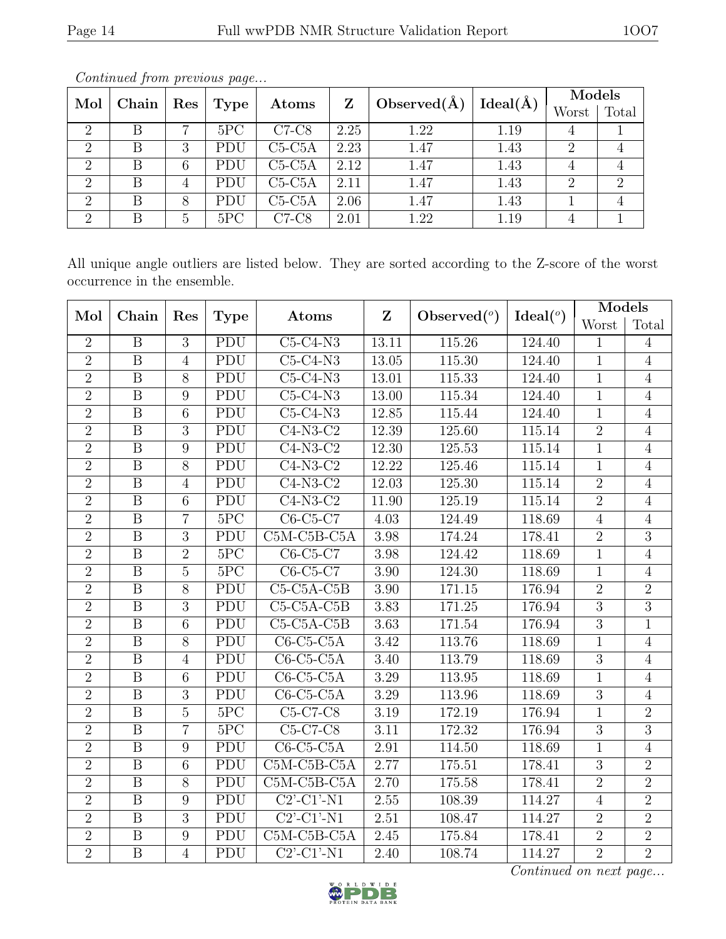| Mol            | Chain |                      | Type | Atoms    | Z    | Observed $(\AA)$ | Ideal(A) | Models |       |
|----------------|-------|----------------------|------|----------|------|------------------|----------|--------|-------|
|                |       | $\operatorname{Res}$ |      |          |      |                  |          | Worst  | Total |
| $\overline{2}$ | В     | ⇁                    | 5PC  | $C7-C8$  | 2.25 | 1.22             | 1.19     |        |       |
| $\overline{2}$ |       | 3                    | PDU  | $C5-C5A$ | 2.23 | 1.47             | 1.43     |        |       |
| $\overline{2}$ | В     | 6                    | PDU  | $C5-C5A$ | 2.12 | 1.47             | 1.43     |        |       |
| $\overline{2}$ |       |                      | PDU  | $C5-C5A$ | 2.11 | 1.47             | 1.43     | റ      |       |
| $\overline{2}$ | В     | 8                    | PDU  | $C5-C5A$ | 2.06 | 1.47             | 1.43     |        |       |
| $\overline{2}$ |       | h.                   | 5PC  | $C7-C8$  | 2.01 | 1.22             | 1.19     |        |       |

Continued from previous page...

All unique angle outliers are listed below. They are sorted according to the Z-score of the worst occurrence in the ensemble.

| Mol            | Chain                   | Res             | <b>Type</b>               | Atoms                                    | $\mathbf{Z}$      | Observed $(°)$ | Ideal $(°)$ | Models         |                |
|----------------|-------------------------|-----------------|---------------------------|------------------------------------------|-------------------|----------------|-------------|----------------|----------------|
|                |                         |                 |                           |                                          |                   |                |             | Worst          | Total          |
| $\overline{2}$ | B                       | 3               | PDU                       | $C5-C4-N3$                               | 13.11             | 115.26         | 124.40      | 1              | 4              |
| $\overline{2}$ | $\overline{B}$          | $\overline{4}$  | PDU                       | $C5-C4-N3$                               | 13.05             | 115.30         | 124.40      | $\mathbf{1}$   | $\overline{4}$ |
| $\overline{2}$ | B                       | 8               | PDU                       | $C5-C4-N3$                               | 13.01             | 115.33         | 124.40      | $\mathbf{1}$   | $\overline{4}$ |
| $\overline{2}$ | B                       | 9               | PDU                       | $C5-C4-N3$                               | 13.00             | 115.34         | 124.40      | $\mathbf{1}$   | $\overline{4}$ |
| $\overline{2}$ | $\overline{B}$          | $6\phantom{.}6$ | $\overline{\mathrm{PDU}}$ | $C5-C4-N3$                               | 12.85             | 115.44         | 124.40      | $\mathbf{1}$   | $\overline{4}$ |
| $\overline{2}$ | $\overline{\mathbf{B}}$ | 3               | PDU                       | $C4-N3-C2$                               | 12.39             | 125.60         | 115.14      | $\overline{2}$ | $\overline{4}$ |
| $\overline{2}$ | B                       | 9               | PDU                       | $C4-N3-C2$                               | 12.30             | 125.53         | 115.14      | $\mathbf{1}$   | $\overline{4}$ |
| $\overline{2}$ | $\overline{\mathrm{B}}$ | $\overline{8}$  | $\overline{\mathrm{PDU}}$ | $C4-N3-C2$                               | 12.22             | 125.46         | 115.14      | $\mathbf{1}$   | $\overline{4}$ |
| $\overline{2}$ | B                       | $\overline{4}$  | PDU                       | $C4-N3-C2$                               | 12.03             | 125.30         | 115.14      | $\overline{2}$ | $\overline{4}$ |
| $\overline{2}$ | B                       | 6               | $\overline{\mathrm{PDU}}$ | $C4-N3-C2$                               | 11.90             | 125.19         | 115.14      | $\overline{2}$ | $\overline{4}$ |
| $\overline{2}$ | $\overline{B}$          | $\overline{7}$  | 5PC                       | $C6-C5-C7$                               | 4.03              | 124.49         | 118.69      | $\overline{4}$ | $\overline{4}$ |
| $\overline{2}$ | $\mathbf B$             | 3               | PDU                       | C5M-C5B-C5A                              | 3.98              | 174.24         | 178.41      | $\overline{2}$ | $\overline{3}$ |
| $\overline{2}$ | $\overline{\mathrm{B}}$ | $\overline{2}$  | 5PC                       | $\overline{\text{C6-C5-C7}}$             | 3.98              | 124.42         | 118.69      | $\mathbf{1}$   | $\overline{4}$ |
| $\overline{2}$ | $\boldsymbol{B}$        | $\overline{5}$  | 5PC                       | $C6-C5-C7$                               | 3.90              | 124.30         | 118.69      | $\mathbf{1}$   | $\overline{4}$ |
| $\overline{2}$ | $\mathbf{B}$            | 8               | PDU                       | $C5-C5A-C5B$                             | 3.90              | 171.15         | 176.94      | $\overline{2}$ | $\overline{2}$ |
| $\overline{2}$ | $\overline{B}$          | $\overline{3}$  | PDU                       | $C5-C5A-C5B$                             | 3.83              | 171.25         | 176.94      | $\overline{3}$ | $\overline{3}$ |
| $\overline{2}$ | B                       | 6               | PDU                       | $C5-C5A-C5B$                             | 3.63              | 171.54         | 176.94      | $\overline{3}$ | $\mathbf{1}$   |
| $\overline{2}$ | B                       | 8               | PDU                       | $C6-C5-C5A$                              | 3.42              | 113.76         | 118.69      | $\mathbf{1}$   | $\overline{4}$ |
| $\overline{2}$ | $\mathbf B$             | $\overline{4}$  | $\overline{\mathrm{PDU}}$ | $C6-C5-C5A$                              | $\overline{3}.40$ | 113.79         | 118.69      | $\overline{3}$ | $\overline{4}$ |
| $\overline{2}$ | B                       | 6               | $\overline{\mathrm{PDU}}$ | $C6-C5-C5A$                              | 3.29              | 113.95         | 118.69      | $\mathbf{1}$   | $\overline{4}$ |
| $\overline{2}$ | $\overline{B}$          | 3               | PDU                       | $C6-C5-C5A$                              | 3.29              | 113.96         | 118.69      | 3              | $\overline{4}$ |
| $\overline{2}$ | $\overline{B}$          | $\overline{5}$  | 5PC                       | $C5-C7-C8$                               | $\overline{3}.19$ | 172.19         | 176.94      | $\mathbf{1}$   | $\overline{2}$ |
| $\overline{2}$ | B                       | $\overline{7}$  | 5PC                       | $C5-C7-C8$                               | 3.11              | 172.32         | 176.94      | $\overline{3}$ | $\overline{3}$ |
| $\overline{2}$ | B                       | 9               | PDU                       | $C6-C5-C5A$                              | 2.91              | 114.50         | 118.69      | 1              | $\overline{4}$ |
| $\overline{2}$ | $\overline{\mathrm{B}}$ | 6               | PDU                       | $C5M-C5B-C5A$                            | 2.77              | 175.51         | 178.41      | $\overline{3}$ | $\overline{2}$ |
| $\overline{2}$ | B                       | 8               | PDU                       | C5M-C5B-C5A                              | 2.70              | 175.58         | 178.41      | $\overline{2}$ | $\overline{2}$ |
| $\overline{2}$ | B                       | 9               | PDU                       | $C2'$ - $C1'$ - $N1$                     | 2.55              | 108.39         | 114.27      | $\overline{4}$ | $\overline{2}$ |
| $\overline{2}$ | $\overline{B}$          | $\overline{3}$  | PDU                       | $C2$ <sup>-</sup> $C1$ <sup>-</sup> $N1$ | 2.51              | 108.47         | 114.27      | $\overline{2}$ | $\overline{2}$ |
| $\overline{2}$ | $\boldsymbol{B}$        | 9               | PDU                       | C5M-C5B-C5A                              | 2.45              | 175.84         | 178.41      | $\overline{2}$ | $\overline{2}$ |
| $\overline{2}$ | $\overline{B}$          | $\overline{4}$  | PDU                       | $C2$ <sup>-</sup> $C1$ <sup>-</sup> $N1$ | 2.40              | 108.74         | 114.27      | $\overline{2}$ | $\overline{2}$ |



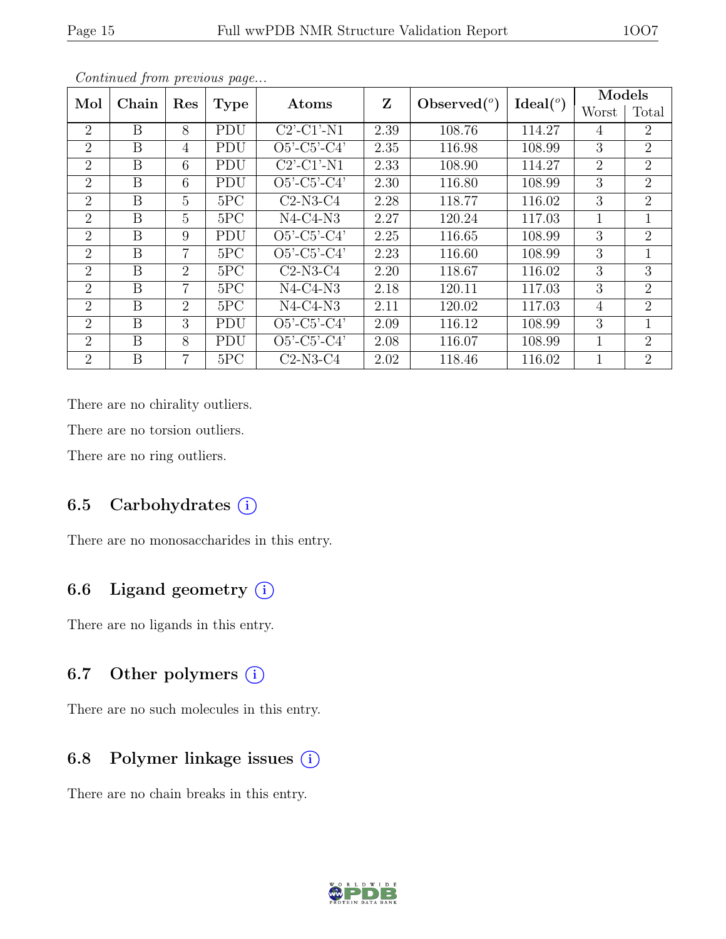| Mol            | Chain          | Res            | <b>Type</b> | Atoms                | Z    | Observed $(°)$ | Ideal <sup>o</sup> | Models         |                |
|----------------|----------------|----------------|-------------|----------------------|------|----------------|--------------------|----------------|----------------|
|                |                |                |             |                      |      |                |                    | Worst          | Total          |
| $\overline{2}$ | B              | 8              | PDU         | $C2'$ - $C1'$ - $N1$ | 2.39 | 108.76         | 114.27             | 4              | 2              |
| $\overline{2}$ | B              | 4              | PDU         | $O5'$ -C5'-C4'       | 2.35 | 116.98         | 108.99             | 3              | 2              |
| $\overline{2}$ | B              | 6              | PDU         | $C2$ '-C1'-N1        | 2.33 | 108.90         | 114.27             | $\overline{2}$ | 2              |
| $\overline{2}$ | B              | 6              | PDU         | $O5'$ -C5'-C4'       | 2.30 | 116.80         | 108.99             | 3              | 2              |
| 2              | B              | $\overline{5}$ | 5PC         | $C2-N3-C4$           | 2.28 | 118.77         | 116.02             | 3              | $\overline{2}$ |
| $\overline{2}$ | B              | 5              | 5PC         | $N4-C4-N3$           | 2.27 | 120.24         | 117.03             | 1              | 1              |
| $\overline{2}$ | B              | 9              | PDU         | $O5'$ -C5'-C4'       | 2.25 | 116.65         | 108.99             | 3              | $\overline{2}$ |
| $\overline{2}$ | B              | 7              | 5PC         | $O5'-C5'-C4'$        | 2.23 | 116.60         | 108.99             | 3              |                |
| $\overline{2}$ | B              | $\overline{2}$ | 5PC         | $C2-N3-C4$           | 2.20 | 118.67         | 116.02             | 3              | 3              |
| 2              | B              | $\overline{7}$ | 5PC         | $N4-C4-N3$           | 2.18 | 120.11         | 117.03             | 3              | 2              |
| $\overline{2}$ | $\overline{B}$ | 2              | 5PC         | $N4-C4-N3$           | 2.11 | 120.02         | 117.03             | $\overline{4}$ | 2              |
| $\overline{2}$ | B              | 3              | PDU         | $O5'$ -C5'-C4'       | 2.09 | 116.12         | 108.99             | 3              | $\mathbf{1}$   |
| $\overline{2}$ | B              | 8              | PDU         | $O5'$ -C5'-C4'       | 2.08 | 116.07         | 108.99             | 1              | $\overline{2}$ |
| $\overline{2}$ | B              |                | 5PC         | $C2-N3-C4$           | 2.02 | 118.46         | 116.02             | 1              | $\overline{2}$ |

Continued from previous page...

There are no chirality outliers.

There are no torsion outliers.

There are no ring outliers.

### 6.5 Carbohydrates (i)

There are no monosaccharides in this entry.

## 6.6 Ligand geometry  $(i)$

There are no ligands in this entry.

### 6.7 Other polymers (i)

There are no such molecules in this entry.

### 6.8 Polymer linkage issues (i)

There are no chain breaks in this entry.